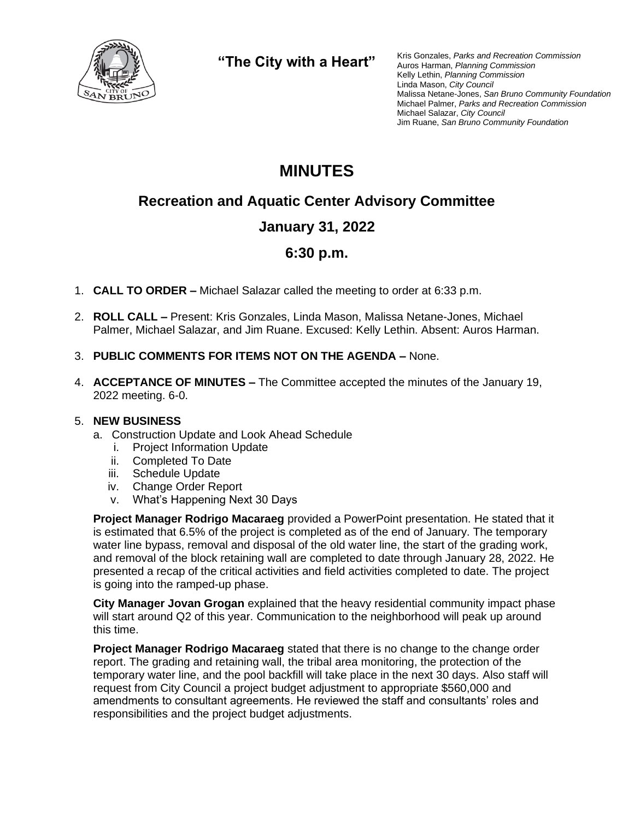

**"The City with a Heart"**

Kris Gonzales, *Parks and Recreation Commission* Auros Harman, *Planning Commission* Kelly Lethin, *Planning Commission* Linda Mason, *City Council* Malissa Netane-Jones, *San Bruno Community Foundation* Michael Palmer, *Parks and Recreation Commission* Michael Salazar, *City Council* Jim Ruane, *San Bruno Community Foundation*

# **MINUTES**

## **Recreation and Aquatic Center Advisory Committee**

## **January 31, 2022**

## **6:30 p.m.**

- 1. **CALL TO ORDER –** Michael Salazar called the meeting to order at 6:33 p.m.
- 2. **ROLL CALL –** Present: Kris Gonzales, Linda Mason, Malissa Netane-Jones, Michael Palmer, Michael Salazar, and Jim Ruane. Excused: Kelly Lethin. Absent: Auros Harman.
- 3. **PUBLIC COMMENTS FOR ITEMS NOT ON THE AGENDA –** None.
- 4. **ACCEPTANCE OF MINUTES –** The Committee accepted the minutes of the January 19, 2022 meeting. 6-0.

#### 5. **NEW BUSINESS**

- a. Construction Update and Look Ahead Schedule
	- i. Project Information Update
	- ii. Completed To Date
	- iii. Schedule Update
	- iv. Change Order Report
	- v. What's Happening Next 30 Days

**Project Manager Rodrigo Macaraeg** provided a PowerPoint presentation. He stated that it is estimated that 6.5% of the project is completed as of the end of January. The temporary water line bypass, removal and disposal of the old water line, the start of the grading work, and removal of the block retaining wall are completed to date through January 28, 2022. He presented a recap of the critical activities and field activities completed to date. The project is going into the ramped-up phase.

**City Manager Jovan Grogan** explained that the heavy residential community impact phase will start around Q2 of this year. Communication to the neighborhood will peak up around this time.

**Project Manager Rodrigo Macaraeg** stated that there is no change to the change order report. The grading and retaining wall, the tribal area monitoring, the protection of the temporary water line, and the pool backfill will take place in the next 30 days. Also staff will request from City Council a project budget adjustment to appropriate \$560,000 and amendments to consultant agreements. He reviewed the staff and consultants' roles and responsibilities and the project budget adjustments.